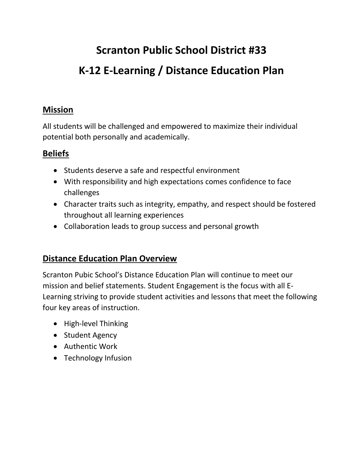# **Scranton Public School District #33 K-12 E-Learning / Distance Education Plan**

### **Mission**

All students will be challenged and empowered to maximize their individual potential both personally and academically.

### **Beliefs**

- Students deserve a safe and respectful environment
- With responsibility and high expectations comes confidence to face challenges
- Character traits such as integrity, empathy, and respect should be fostered throughout all learning experiences
- Collaboration leads to group success and personal growth

### **Distance Education Plan Overview**

Scranton Pubic School's Distance Education Plan will continue to meet our mission and belief statements. Student Engagement is the focus with all E-Learning striving to provide student activities and lessons that meet the following four key areas of instruction.

- High-level Thinking
- Student Agency
- Authentic Work
- Technology Infusion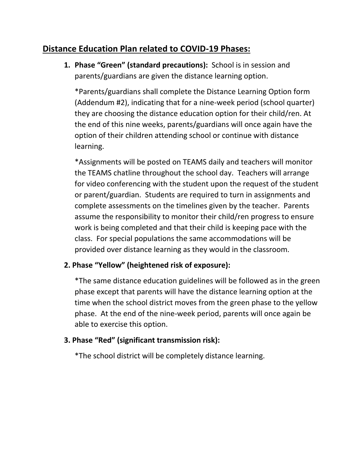### **Distance Education Plan related to COVID-19 Phases:**

**1. Phase "Green" (standard precautions):** School is in session and parents/guardians are given the distance learning option.

\*Parents/guardians shall complete the Distance Learning Option form (Addendum #2), indicating that for a nine-week period (school quarter) they are choosing the distance education option for their child/ren. At the end of this nine weeks, parents/guardians will once again have the option of their children attending school or continue with distance learning.

\*Assignments will be posted on TEAMS daily and teachers will monitor the TEAMS chatline throughout the school day. Teachers will arrange for video conferencing with the student upon the request of the student or parent/guardian. Students are required to turn in assignments and complete assessments on the timelines given by the teacher. Parents assume the responsibility to monitor their child/ren progress to ensure work is being completed and that their child is keeping pace with the class. For special populations the same accommodations will be provided over distance learning as they would in the classroom.

### **2. Phase "Yellow" (heightened risk of exposure):**

\*The same distance education guidelines will be followed as in the green phase except that parents will have the distance learning option at the time when the school district moves from the green phase to the yellow phase. At the end of the nine-week period, parents will once again be able to exercise this option.

### **3. Phase "Red" (significant transmission risk):**

\*The school district will be completely distance learning.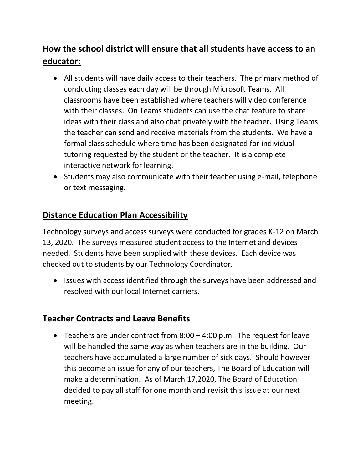# **How the school district will ensure that all students have access to an educator:**

- All students will have daily access to their teachers. The primary method of conducting classes each day will be through Microsoft Teams. All classrooms have been established where teachers will video conference with their classes. On Teams students can use the chat feature to share ideas with their class and also chat privately with the teacher. Using Teams the teacher can send and receive materials from the students. We have a formal class schedule where time has been designated for individual tutoring requested by the student or the teacher. It is a complete interactive network for learning.
- Students may also communicate with their teacher using e-mail, telephone or text messaging.

### **Distance Education Plan Accessibility**

Technology surveys and access surveys were conducted for grades K-12 on March 13, 2020. The surveys measured student access to the Internet and devices needed. Students have been supplied with these devices. Each device was checked out to students by our Technology Coordinator.

• Issues with access identified through the surveys have been addressed and resolved with our local Internet carriers.

### **Teacher Contracts and Leave Benefits**

• Teachers are under contract from 8:00 – 4:00 p.m. The request for leave will be handled the same way as when teachers are in the building. Our teachers have accumulated a large number of sick days. Should however this become an issue for any of our teachers, The Board of Education will make a determination. As of March 17,2020, The Board of Education decided to pay all staff for one month and revisit this issue at our next meeting.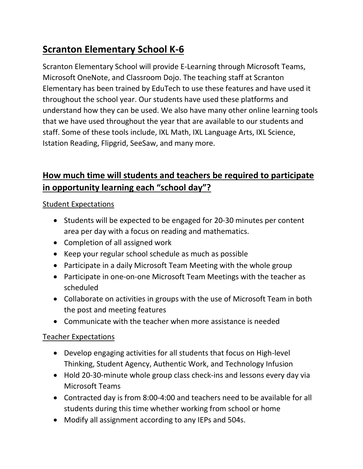# **Scranton Elementary School K-6**

Scranton Elementary School will provide E-Learning through Microsoft Teams, Microsoft OneNote, and Classroom Dojo. The teaching staff at Scranton Elementary has been trained by EduTech to use these features and have used it throughout the school year. Our students have used these platforms and understand how they can be used. We also have many other online learning tools that we have used throughout the year that are available to our students and staff. Some of these tools include, IXL Math, IXL Language Arts, IXL Science, Istation Reading, Flipgrid, SeeSaw, and many more.

# **How much time will students and teachers be required to participate in opportunity learning each "school day"?**

### Student Expectations

- Students will be expected to be engaged for 20-30 minutes per content area per day with a focus on reading and mathematics.
- Completion of all assigned work
- Keep your regular school schedule as much as possible
- Participate in a daily Microsoft Team Meeting with the whole group
- Participate in one-on-one Microsoft Team Meetings with the teacher as scheduled
- Collaborate on activities in groups with the use of Microsoft Team in both the post and meeting features
- Communicate with the teacher when more assistance is needed

### Teacher Expectations

- Develop engaging activities for all students that focus on High-level Thinking, Student Agency, Authentic Work, and Technology Infusion
- Hold 20-30-minute whole group class check-ins and lessons every day via Microsoft Teams
- Contracted day is from 8:00-4:00 and teachers need to be available for all students during this time whether working from school or home
- Modify all assignment according to any IEPs and 504s.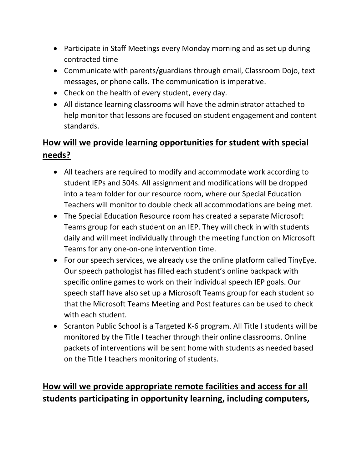- Participate in Staff Meetings every Monday morning and as set up during contracted time
- Communicate with parents/guardians through email, Classroom Dojo, text messages, or phone calls. The communication is imperative.
- Check on the health of every student, every day.
- All distance learning classrooms will have the administrator attached to help monitor that lessons are focused on student engagement and content standards.

# **How will we provide learning opportunities for student with special needs?**

- All teachers are required to modify and accommodate work according to student IEPs and 504s. All assignment and modifications will be dropped into a team folder for our resource room, where our Special Education Teachers will monitor to double check all accommodations are being met.
- The Special Education Resource room has created a separate Microsoft Teams group for each student on an IEP. They will check in with students daily and will meet individually through the meeting function on Microsoft Teams for any one-on-one intervention time.
- For our speech services, we already use the online platform called TinyEye. Our speech pathologist has filled each student's online backpack with specific online games to work on their individual speech IEP goals. Our speech staff have also set up a Microsoft Teams group for each student so that the Microsoft Teams Meeting and Post features can be used to check with each student.
- Scranton Public School is a Targeted K-6 program. All Title I students will be monitored by the Title I teacher through their online classrooms. Online packets of interventions will be sent home with students as needed based on the Title I teachers monitoring of students.

# **How will we provide appropriate remote facilities and access for all students participating in opportunity learning, including computers,**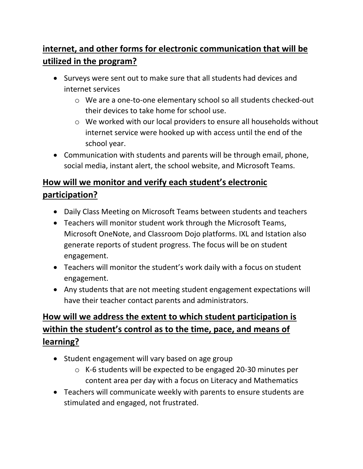# **internet, and other forms for electronic communication that will be utilized in the program?**

- Surveys were sent out to make sure that all students had devices and internet services
	- o We are a one-to-one elementary school so all students checked-out their devices to take home for school use.
	- o We worked with our local providers to ensure all households without internet service were hooked up with access until the end of the school year.
- Communication with students and parents will be through email, phone, social media, instant alert, the school website, and Microsoft Teams.

# **How will we monitor and verify each student's electronic participation?**

- Daily Class Meeting on Microsoft Teams between students and teachers
- Teachers will monitor student work through the Microsoft Teams, Microsoft OneNote, and Classroom Dojo platforms. IXL and Istation also generate reports of student progress. The focus will be on student engagement.
- Teachers will monitor the student's work daily with a focus on student engagement.
- Any students that are not meeting student engagement expectations will have their teacher contact parents and administrators.

# **How will we address the extent to which student participation is within the student's control as to the time, pace, and means of learning?**

- Student engagement will vary based on age group
	- o K-6 students will be expected to be engaged 20-30 minutes per content area per day with a focus on Literacy and Mathematics
- Teachers will communicate weekly with parents to ensure students are stimulated and engaged, not frustrated.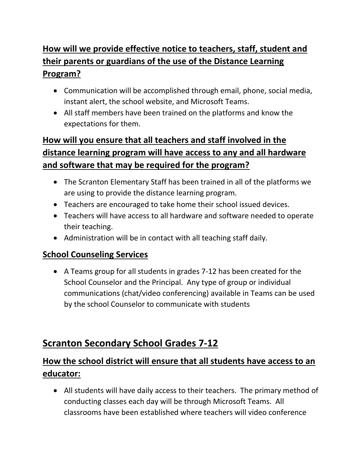# **How will we provide effective notice to teachers, staff, student and their parents or guardians of the use of the Distance Learning Program?**

- Communication will be accomplished through email, phone, social media, instant alert, the school website, and Microsoft Teams.
- All staff members have been trained on the platforms and know the expectations for them.

# **How will you ensure that all teachers and staff involved in the distance learning program will have access to any and all hardware and software that may be required for the program?**

- The Scranton Elementary Staff has been trained in all of the platforms we are using to provide the distance learning program.
- Teachers are encouraged to take home their school issued devices.
- Teachers will have access to all hardware and software needed to operate their teaching.
- Administration will be in contact with all teaching staff daily.

### **School Counseling Services**

• A Teams group for all students in grades 7-12 has been created for the School Counselor and the Principal. Any type of group or individual communications (chat/video conferencing) available in Teams can be used by the school Counselor to communicate with students

# **Scranton Secondary School Grades 7-12**

# **How the school district will ensure that all students have access to an educator:**

• All students will have daily access to their teachers. The primary method of conducting classes each day will be through Microsoft Teams. All classrooms have been established where teachers will video conference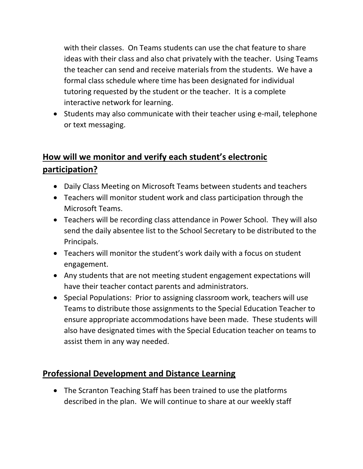with their classes. On Teams students can use the chat feature to share ideas with their class and also chat privately with the teacher. Using Teams the teacher can send and receive materials from the students. We have a formal class schedule where time has been designated for individual tutoring requested by the student or the teacher. It is a complete interactive network for learning.

• Students may also communicate with their teacher using e-mail, telephone or text messaging.

## **How will we monitor and verify each student's electronic participation?**

- Daily Class Meeting on Microsoft Teams between students and teachers
- Teachers will monitor student work and class participation through the Microsoft Teams.
- Teachers will be recording class attendance in Power School. They will also send the daily absentee list to the School Secretary to be distributed to the Principals.
- Teachers will monitor the student's work daily with a focus on student engagement.
- Any students that are not meeting student engagement expectations will have their teacher contact parents and administrators.
- Special Populations: Prior to assigning classroom work, teachers will use Teams to distribute those assignments to the Special Education Teacher to ensure appropriate accommodations have been made. These students will also have designated times with the Special Education teacher on teams to assist them in any way needed.

### **Professional Development and Distance Learning**

• The Scranton Teaching Staff has been trained to use the platforms described in the plan. We will continue to share at our weekly staff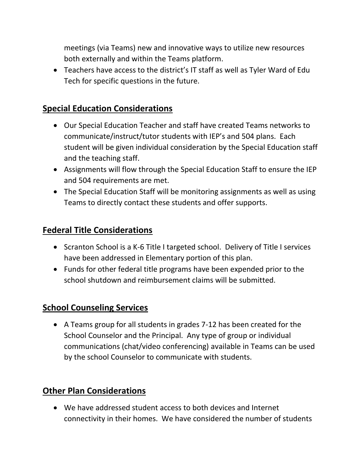meetings (via Teams) new and innovative ways to utilize new resources both externally and within the Teams platform.

• Teachers have access to the district's IT staff as well as Tyler Ward of Edu Tech for specific questions in the future.

### **Special Education Considerations**

- Our Special Education Teacher and staff have created Teams networks to communicate/instruct/tutor students with IEP's and 504 plans. Each student will be given individual consideration by the Special Education staff and the teaching staff.
- Assignments will flow through the Special Education Staff to ensure the IEP and 504 requirements are met.
- The Special Education Staff will be monitoring assignments as well as using Teams to directly contact these students and offer supports.

### **Federal Title Considerations**

- Scranton School is a K-6 Title I targeted school. Delivery of Title I services have been addressed in Elementary portion of this plan.
- Funds for other federal title programs have been expended prior to the school shutdown and reimbursement claims will be submitted.

### **School Counseling Services**

• A Teams group for all students in grades 7-12 has been created for the School Counselor and the Principal. Any type of group or individual communications (chat/video conferencing) available in Teams can be used by the school Counselor to communicate with students.

### **Other Plan Considerations**

• We have addressed student access to both devices and Internet connectivity in their homes. We have considered the number of students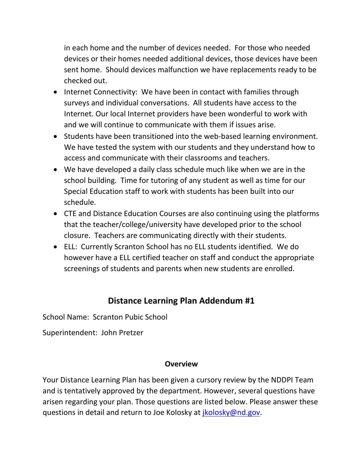in each home and the number of devices needed. For those who needed devices or their homes needed additional devices, those devices have been sent home. Should devices malfunction we have replacements ready to be checked out.

- Internet Connectivity: We have been in contact with families through surveys and individual conversations. All students have access to the Internet. Our local Internet providers have been wonderful to work with and we will continue to communicate with them if issues arise.
- Students have been transitioned into the web-based learning environment. We have tested the system with our students and they understand how to access and communicate with their classrooms and teachers.
- We have developed a daily class schedule much like when we are in the school building. Time for tutoring of any student as well as time for our Special Education staff to work with students has been built into our schedule.
- CTE and Distance Education Courses are also continuing using the platforms that the teacher/college/university have developed prior to the school closure. Teachers are communicating directly with their students.
- ELL: Currently Scranton School has no ELL students identified. We do however have a ELL certified teacher on staff and conduct the appropriate screenings of students and parents when new students are enrolled.

### **Distance Learning Plan Addendum #1**

School Name: Scranton Pubic School

Superintendent: John Pretzer

### **Overview**

Your Distance Learning Plan has been given a cursory review by the NDDPI Team and is tentatively approved by the department. However, several questions have arisen regarding your plan. Those questions are listed below. Please answer these questions in detail and return to Joe Kolosky at *jkolosky@nd.gov.*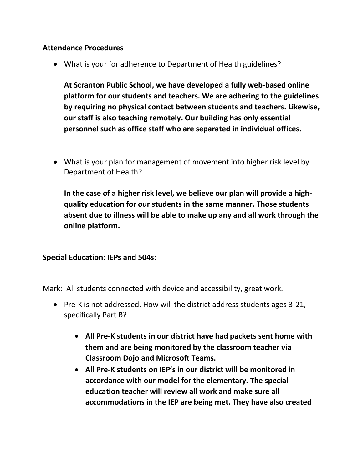#### **Attendance Procedures**

• What is your for adherence to Department of Health guidelines?

**At Scranton Public School, we have developed a fully web-based online platform for our students and teachers. We are adhering to the guidelines by requiring no physical contact between students and teachers. Likewise, our staff is also teaching remotely. Our building has only essential personnel such as office staff who are separated in individual offices.**

• What is your plan for management of movement into higher risk level by Department of Health?

**In the case of a higher risk level, we believe our plan will provide a highquality education for our students in the same manner. Those students absent due to illness will be able to make up any and all work through the online platform.**

#### **Special Education: IEPs and 504s:**

Mark: All students connected with device and accessibility, great work.

- Pre-K is not addressed. How will the district address students ages 3-21, specifically Part B?
	- **All Pre-K students in our district have had packets sent home with them and are being monitored by the classroom teacher via Classroom Dojo and Microsoft Teams.**
	- **All Pre-K students on IEP's in our district will be monitored in accordance with our model for the elementary. The special education teacher will review all work and make sure all accommodations in the IEP are being met. They have also created**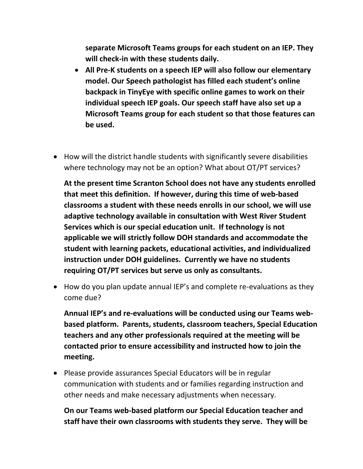**separate Microsoft Teams groups for each student on an IEP. They will check-in with these students daily.**

- **All Pre-K students on a speech IEP will also follow our elementary model. Our Speech pathologist has filled each student's online backpack in TinyEye with specific online games to work on their individual speech IEP goals. Our speech staff have also set up a Microsoft Teams group for each student so that those features can be used.**
- How will the district handle students with significantly severe disabilities where technology may not be an option? What about OT/PT services?

**At the present time Scranton School does not have any students enrolled that meet this definition. If however, during this time of web-based classrooms a student with these needs enrolls in our school, we will use adaptive technology available in consultation with West River Student Services which is our special education unit. If technology is not applicable we will strictly follow DOH standards and accommodate the student with learning packets, educational activities, and individualized instruction under DOH guidelines. Currently we have no students requiring OT/PT services but serve us only as consultants.**

• How do you plan update annual IEP's and complete re-evaluations as they come due?

**Annual IEP's and re-evaluations will be conducted using our Teams webbased platform. Parents, students, classroom teachers, Special Education teachers and any other professionals required at the meeting will be contacted prior to ensure accessibility and instructed how to join the meeting.** 

• Please provide assurances Special Educators will be in regular communication with students and or families regarding instruction and other needs and make necessary adjustments when necessary.

**On our Teams web-based platform our Special Education teacher and staff have their own classrooms with students they serve. They will be**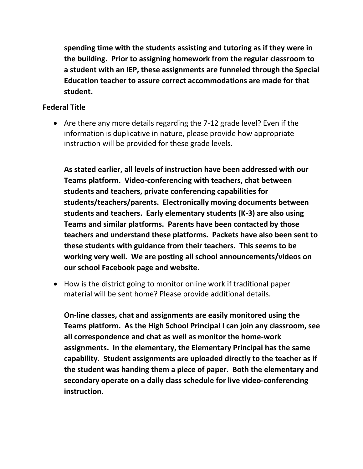**spending time with the students assisting and tutoring as if they were in the building. Prior to assigning homework from the regular classroom to a student with an IEP, these assignments are funneled through the Special Education teacher to assure correct accommodations are made for that student.** 

#### **Federal Title**

• Are there any more details regarding the 7-12 grade level? Even if the information is duplicative in nature, please provide how appropriate instruction will be provided for these grade levels.

**As stated earlier, all levels of instruction have been addressed with our Teams platform. Video-conferencing with teachers, chat between students and teachers, private conferencing capabilities for students/teachers/parents. Electronically moving documents between students and teachers. Early elementary students (K-3) are also using Teams and similar platforms. Parents have been contacted by those teachers and understand these platforms. Packets have also been sent to these students with guidance from their teachers. This seems to be working very well. We are posting all school announcements/videos on our school Facebook page and website.**

• How is the district going to monitor online work if traditional paper material will be sent home? Please provide additional details.

**On-line classes, chat and assignments are easily monitored using the Teams platform. As the High School Principal I can join any classroom, see all correspondence and chat as well as monitor the home-work assignments. In the elementary, the Elementary Principal has the same capability. Student assignments are uploaded directly to the teacher as if the student was handing them a piece of paper. Both the elementary and secondary operate on a daily class schedule for live video-conferencing instruction.**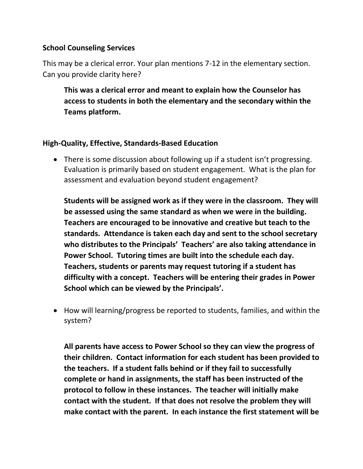#### **School Counseling Services**

This may be a clerical error. Your plan mentions 7-12 in the elementary section. Can you provide clarity here?

**This was a clerical error and meant to explain how the Counselor has access to students in both the elementary and the secondary within the Teams platform.**

#### **High-Quality, Effective, Standards-Based Education**

• There is some discussion about following up if a student isn't progressing. Evaluation is primarily based on student engagement. What is the plan for assessment and evaluation beyond student engagement?

**Students will be assigned work as if they were in the classroom. They will be assessed using the same standard as when we were in the building. Teachers are encouraged to be innovative and creative but teach to the standards. Attendance is taken each day and sent to the school secretary who distributes to the Principals' Teachers' are also taking attendance in Power School. Tutoring times are built into the schedule each day. Teachers, students or parents may request tutoring if a student has difficulty with a concept. Teachers will be entering their grades in Power School which can be viewed by the Principals'.**

• How will learning/progress be reported to students, families, and within the system?

**All parents have access to Power School so they can view the progress of their children. Contact information for each student has been provided to the teachers. If a student falls behind or if they fail to successfully complete or hand in assignments, the staff has been instructed of the protocol to follow in these instances. The teacher will initially make contact with the student. If that does not resolve the problem they will make contact with the parent. In each instance the first statement will be**